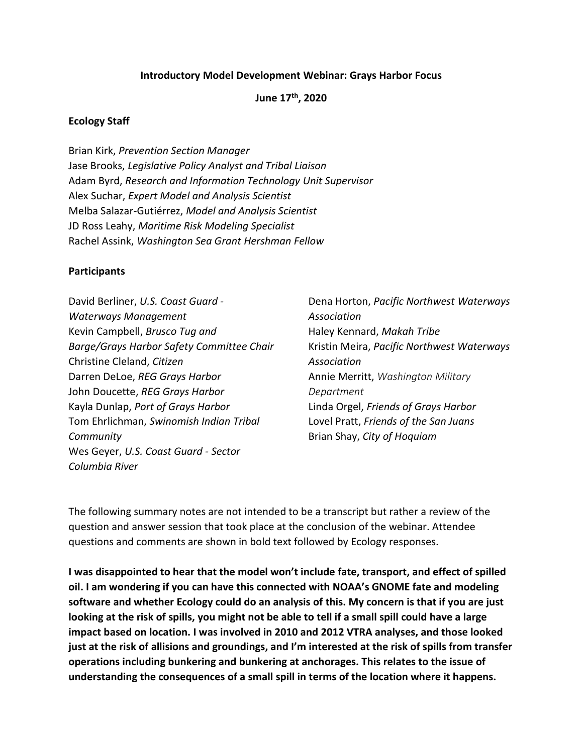#### Introductory Model Development Webinar: Grays Harbor Focus

June 17th, 2020

#### Ecology Staff

Brian Kirk, Prevention Section Manager Jase Brooks, Legislative Policy Analyst and Tribal Liaison Adam Byrd, Research and Information Technology Unit Supervisor Alex Suchar, Expert Model and Analysis Scientist Melba Salazar-Gutiérrez, Model and Analysis Scientist JD Ross Leahy, Maritime Risk Modeling Specialist Rachel Assink, Washington Sea Grant Hershman Fellow

#### **Participants**

| David Berliner, U.S. Coast Guard -        |
|-------------------------------------------|
| <b>Waterways Management</b>               |
| Kevin Campbell, Brusco Tug and            |
| Barge/Grays Harbor Safety Committee Chair |
| Christine Cleland, Citizen                |
| Darren DeLoe, REG Grays Harbor            |
| John Doucette, REG Grays Harbor           |
| Kayla Dunlap, Port of Grays Harbor        |
| Tom Ehrlichman, Swinomish Indian Tribal   |
| Community                                 |
| Wes Geyer, U.S. Coast Guard - Sector      |
| Columbia River                            |

Dena Horton, Pacific Northwest Waterways Association Haley Kennard, Makah Tribe Kristin Meira, Pacific Northwest Waterways Association Annie Merritt, Washington Military Department Linda Orgel, Friends of Grays Harbor Lovel Pratt, Friends of the San Juans Brian Shay, City of Hoquiam

The following summary notes are not intended to be a transcript but rather a review of the question and answer session that took place at the conclusion of the webinar. Attendee questions and comments are shown in bold text followed by Ecology responses.

I was disappointed to hear that the model won't include fate, transport, and effect of spilled oil. I am wondering if you can have this connected with NOAA's GNOME fate and modeling software and whether Ecology could do an analysis of this. My concern is that if you are just looking at the risk of spills, you might not be able to tell if a small spill could have a large impact based on location. I was involved in 2010 and 2012 VTRA analyses, and those looked just at the risk of allisions and groundings, and I'm interested at the risk of spills from transfer operations including bunkering and bunkering at anchorages. This relates to the issue of understanding the consequences of a small spill in terms of the location where it happens.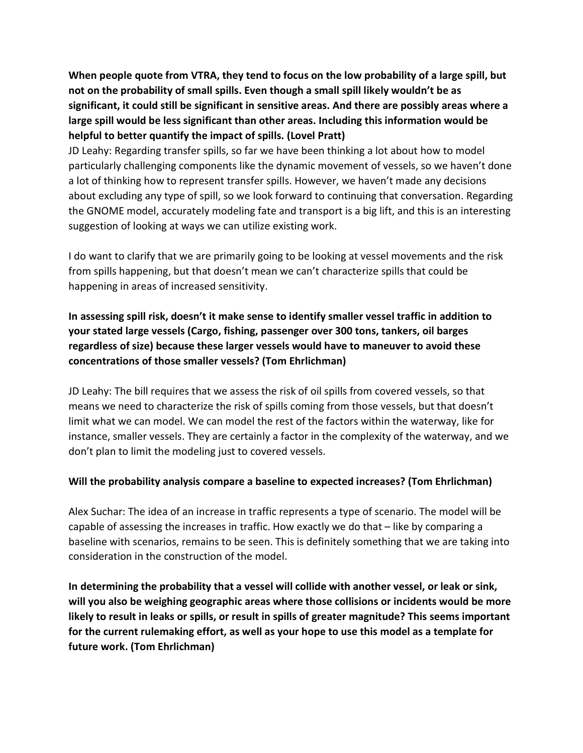When people quote from VTRA, they tend to focus on the low probability of a large spill, but not on the probability of small spills. Even though a small spill likely wouldn't be as significant, it could still be significant in sensitive areas. And there are possibly areas where a large spill would be less significant than other areas. Including this information would be helpful to better quantify the impact of spills. (Lovel Pratt)

JD Leahy: Regarding transfer spills, so far we have been thinking a lot about how to model particularly challenging components like the dynamic movement of vessels, so we haven't done a lot of thinking how to represent transfer spills. However, we haven't made any decisions about excluding any type of spill, so we look forward to continuing that conversation. Regarding the GNOME model, accurately modeling fate and transport is a big lift, and this is an interesting suggestion of looking at ways we can utilize existing work.

I do want to clarify that we are primarily going to be looking at vessel movements and the risk from spills happening, but that doesn't mean we can't characterize spills that could be happening in areas of increased sensitivity.

# In assessing spill risk, doesn't it make sense to identify smaller vessel traffic in addition to your stated large vessels (Cargo, fishing, passenger over 300 tons, tankers, oil barges regardless of size) because these larger vessels would have to maneuver to avoid these concentrations of those smaller vessels? (Tom Ehrlichman)

JD Leahy: The bill requires that we assess the risk of oil spills from covered vessels, so that means we need to characterize the risk of spills coming from those vessels, but that doesn't limit what we can model. We can model the rest of the factors within the waterway, like for instance, smaller vessels. They are certainly a factor in the complexity of the waterway, and we don't plan to limit the modeling just to covered vessels.

### Will the probability analysis compare a baseline to expected increases? (Tom Ehrlichman)

Alex Suchar: The idea of an increase in traffic represents a type of scenario. The model will be capable of assessing the increases in traffic. How exactly we do that – like by comparing a baseline with scenarios, remains to be seen. This is definitely something that we are taking into consideration in the construction of the model.

In determining the probability that a vessel will collide with another vessel, or leak or sink, will you also be weighing geographic areas where those collisions or incidents would be more likely to result in leaks or spills, or result in spills of greater magnitude? This seems important for the current rulemaking effort, as well as your hope to use this model as a template for future work. (Tom Ehrlichman)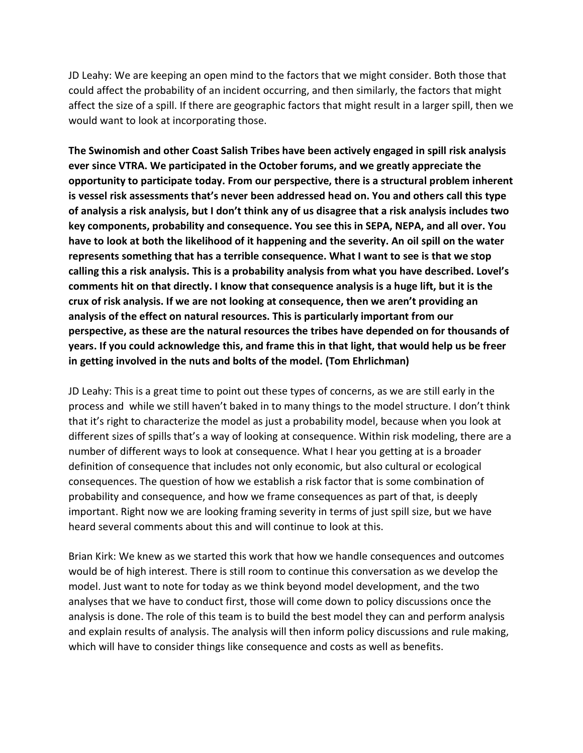JD Leahy: We are keeping an open mind to the factors that we might consider. Both those that could affect the probability of an incident occurring, and then similarly, the factors that might affect the size of a spill. If there are geographic factors that might result in a larger spill, then we would want to look at incorporating those.

The Swinomish and other Coast Salish Tribes have been actively engaged in spill risk analysis ever since VTRA. We participated in the October forums, and we greatly appreciate the opportunity to participate today. From our perspective, there is a structural problem inherent is vessel risk assessments that's never been addressed head on. You and others call this type of analysis a risk analysis, but I don't think any of us disagree that a risk analysis includes two key components, probability and consequence. You see this in SEPA, NEPA, and all over. You have to look at both the likelihood of it happening and the severity. An oil spill on the water represents something that has a terrible consequence. What I want to see is that we stop calling this a risk analysis. This is a probability analysis from what you have described. Lovel's comments hit on that directly. I know that consequence analysis is a huge lift, but it is the crux of risk analysis. If we are not looking at consequence, then we aren't providing an analysis of the effect on natural resources. This is particularly important from our perspective, as these are the natural resources the tribes have depended on for thousands of years. If you could acknowledge this, and frame this in that light, that would help us be freer in getting involved in the nuts and bolts of the model. (Tom Ehrlichman)

JD Leahy: This is a great time to point out these types of concerns, as we are still early in the process and while we still haven't baked in to many things to the model structure. I don't think that it's right to characterize the model as just a probability model, because when you look at different sizes of spills that's a way of looking at consequence. Within risk modeling, there are a number of different ways to look at consequence. What I hear you getting at is a broader definition of consequence that includes not only economic, but also cultural or ecological consequences. The question of how we establish a risk factor that is some combination of probability and consequence, and how we frame consequences as part of that, is deeply important. Right now we are looking framing severity in terms of just spill size, but we have heard several comments about this and will continue to look at this.

Brian Kirk: We knew as we started this work that how we handle consequences and outcomes would be of high interest. There is still room to continue this conversation as we develop the model. Just want to note for today as we think beyond model development, and the two analyses that we have to conduct first, those will come down to policy discussions once the analysis is done. The role of this team is to build the best model they can and perform analysis and explain results of analysis. The analysis will then inform policy discussions and rule making, which will have to consider things like consequence and costs as well as benefits.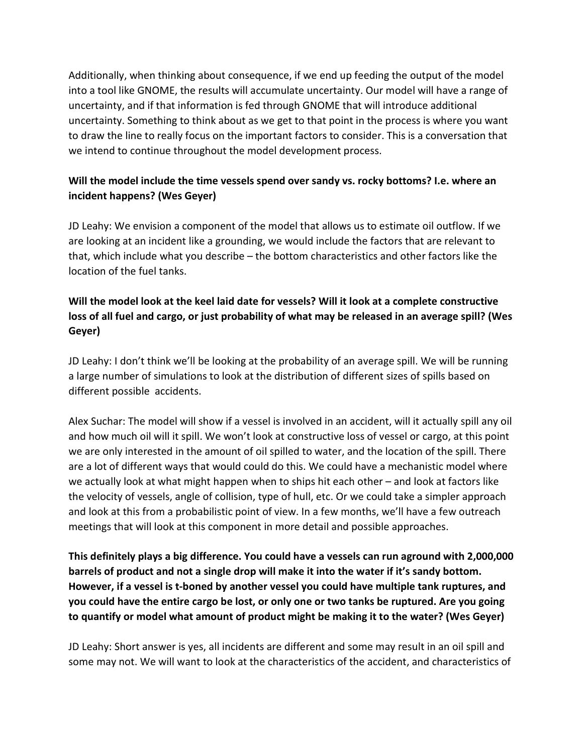Additionally, when thinking about consequence, if we end up feeding the output of the model into a tool like GNOME, the results will accumulate uncertainty. Our model will have a range of uncertainty, and if that information is fed through GNOME that will introduce additional uncertainty. Something to think about as we get to that point in the process is where you want to draw the line to really focus on the important factors to consider. This is a conversation that we intend to continue throughout the model development process.

# Will the model include the time vessels spend over sandy vs. rocky bottoms? I.e. where an incident happens? (Wes Geyer)

JD Leahy: We envision a component of the model that allows us to estimate oil outflow. If we are looking at an incident like a grounding, we would include the factors that are relevant to that, which include what you describe – the bottom characteristics and other factors like the location of the fuel tanks.

# Will the model look at the keel laid date for vessels? Will it look at a complete constructive loss of all fuel and cargo, or just probability of what may be released in an average spill? (Wes Geyer)

JD Leahy: I don't think we'll be looking at the probability of an average spill. We will be running a large number of simulations to look at the distribution of different sizes of spills based on different possible accidents.

Alex Suchar: The model will show if a vessel is involved in an accident, will it actually spill any oil and how much oil will it spill. We won't look at constructive loss of vessel or cargo, at this point we are only interested in the amount of oil spilled to water, and the location of the spill. There are a lot of different ways that would could do this. We could have a mechanistic model where we actually look at what might happen when to ships hit each other – and look at factors like the velocity of vessels, angle of collision, type of hull, etc. Or we could take a simpler approach and look at this from a probabilistic point of view. In a few months, we'll have a few outreach meetings that will look at this component in more detail and possible approaches.

This definitely plays a big difference. You could have a vessels can run aground with 2,000,000 barrels of product and not a single drop will make it into the water if it's sandy bottom. However, if a vessel is t-boned by another vessel you could have multiple tank ruptures, and you could have the entire cargo be lost, or only one or two tanks be ruptured. Are you going to quantify or model what amount of product might be making it to the water? (Wes Geyer)

JD Leahy: Short answer is yes, all incidents are different and some may result in an oil spill and some may not. We will want to look at the characteristics of the accident, and characteristics of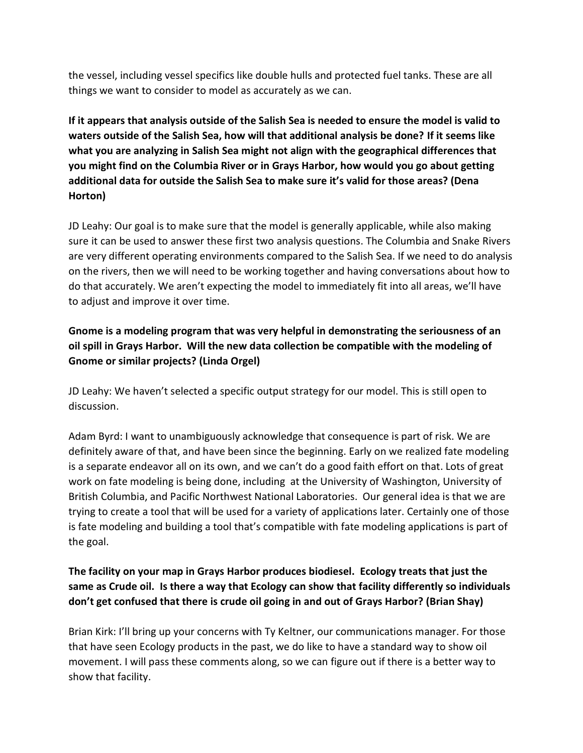the vessel, including vessel specifics like double hulls and protected fuel tanks. These are all things we want to consider to model as accurately as we can.

If it appears that analysis outside of the Salish Sea is needed to ensure the model is valid to waters outside of the Salish Sea, how will that additional analysis be done? If it seems like what you are analyzing in Salish Sea might not align with the geographical differences that you might find on the Columbia River or in Grays Harbor, how would you go about getting additional data for outside the Salish Sea to make sure it's valid for those areas? (Dena Horton)

JD Leahy: Our goal is to make sure that the model is generally applicable, while also making sure it can be used to answer these first two analysis questions. The Columbia and Snake Rivers are very different operating environments compared to the Salish Sea. If we need to do analysis on the rivers, then we will need to be working together and having conversations about how to do that accurately. We aren't expecting the model to immediately fit into all areas, we'll have to adjust and improve it over time.

# Gnome is a modeling program that was very helpful in demonstrating the seriousness of an oil spill in Grays Harbor. Will the new data collection be compatible with the modeling of Gnome or similar projects? (Linda Orgel)

JD Leahy: We haven't selected a specific output strategy for our model. This is still open to discussion.

Adam Byrd: I want to unambiguously acknowledge that consequence is part of risk. We are definitely aware of that, and have been since the beginning. Early on we realized fate modeling is a separate endeavor all on its own, and we can't do a good faith effort on that. Lots of great work on fate modeling is being done, including at the University of Washington, University of British Columbia, and Pacific Northwest National Laboratories. Our general idea is that we are trying to create a tool that will be used for a variety of applications later. Certainly one of those is fate modeling and building a tool that's compatible with fate modeling applications is part of the goal.

# The facility on your map in Grays Harbor produces biodiesel. Ecology treats that just the same as Crude oil. Is there a way that Ecology can show that facility differently so individuals don't get confused that there is crude oil going in and out of Grays Harbor? (Brian Shay)

Brian Kirk: I'll bring up your concerns with Ty Keltner, our communications manager. For those that have seen Ecology products in the past, we do like to have a standard way to show oil movement. I will pass these comments along, so we can figure out if there is a better way to show that facility.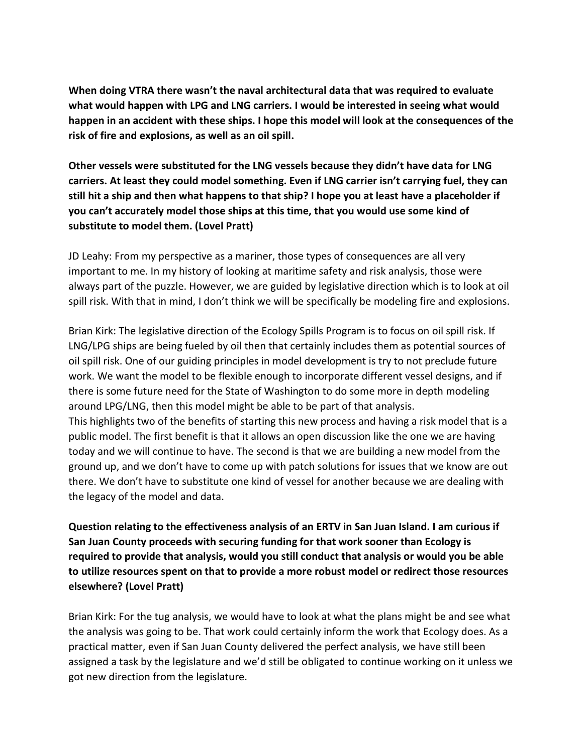When doing VTRA there wasn't the naval architectural data that was required to evaluate what would happen with LPG and LNG carriers. I would be interested in seeing what would happen in an accident with these ships. I hope this model will look at the consequences of the risk of fire and explosions, as well as an oil spill.

Other vessels were substituted for the LNG vessels because they didn't have data for LNG carriers. At least they could model something. Even if LNG carrier isn't carrying fuel, they can still hit a ship and then what happens to that ship? I hope you at least have a placeholder if you can't accurately model those ships at this time, that you would use some kind of substitute to model them. (Lovel Pratt)

JD Leahy: From my perspective as a mariner, those types of consequences are all very important to me. In my history of looking at maritime safety and risk analysis, those were always part of the puzzle. However, we are guided by legislative direction which is to look at oil spill risk. With that in mind, I don't think we will be specifically be modeling fire and explosions.

Brian Kirk: The legislative direction of the Ecology Spills Program is to focus on oil spill risk. If LNG/LPG ships are being fueled by oil then that certainly includes them as potential sources of oil spill risk. One of our guiding principles in model development is try to not preclude future work. We want the model to be flexible enough to incorporate different vessel designs, and if there is some future need for the State of Washington to do some more in depth modeling around LPG/LNG, then this model might be able to be part of that analysis. This highlights two of the benefits of starting this new process and having a risk model that is a public model. The first benefit is that it allows an open discussion like the one we are having today and we will continue to have. The second is that we are building a new model from the ground up, and we don't have to come up with patch solutions for issues that we know are out there. We don't have to substitute one kind of vessel for another because we are dealing with the legacy of the model and data.

Question relating to the effectiveness analysis of an ERTV in San Juan Island. I am curious if San Juan County proceeds with securing funding for that work sooner than Ecology is required to provide that analysis, would you still conduct that analysis or would you be able to utilize resources spent on that to provide a more robust model or redirect those resources elsewhere? (Lovel Pratt)

Brian Kirk: For the tug analysis, we would have to look at what the plans might be and see what the analysis was going to be. That work could certainly inform the work that Ecology does. As a practical matter, even if San Juan County delivered the perfect analysis, we have still been assigned a task by the legislature and we'd still be obligated to continue working on it unless we got new direction from the legislature.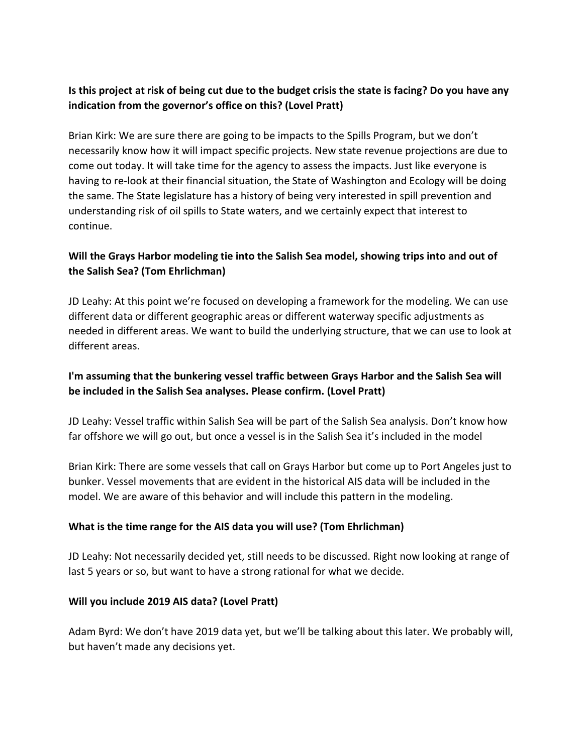### Is this project at risk of being cut due to the budget crisis the state is facing? Do you have any indication from the governor's office on this? (Lovel Pratt)

Brian Kirk: We are sure there are going to be impacts to the Spills Program, but we don't necessarily know how it will impact specific projects. New state revenue projections are due to come out today. It will take time for the agency to assess the impacts. Just like everyone is having to re-look at their financial situation, the State of Washington and Ecology will be doing the same. The State legislature has a history of being very interested in spill prevention and understanding risk of oil spills to State waters, and we certainly expect that interest to continue.

### Will the Grays Harbor modeling tie into the Salish Sea model, showing trips into and out of the Salish Sea? (Tom Ehrlichman)

JD Leahy: At this point we're focused on developing a framework for the modeling. We can use different data or different geographic areas or different waterway specific adjustments as needed in different areas. We want to build the underlying structure, that we can use to look at different areas.

### I'm assuming that the bunkering vessel traffic between Grays Harbor and the Salish Sea will be included in the Salish Sea analyses. Please confirm. (Lovel Pratt)

JD Leahy: Vessel traffic within Salish Sea will be part of the Salish Sea analysis. Don't know how far offshore we will go out, but once a vessel is in the Salish Sea it's included in the model

Brian Kirk: There are some vessels that call on Grays Harbor but come up to Port Angeles just to bunker. Vessel movements that are evident in the historical AIS data will be included in the model. We are aware of this behavior and will include this pattern in the modeling.

### What is the time range for the AIS data you will use? (Tom Ehrlichman)

JD Leahy: Not necessarily decided yet, still needs to be discussed. Right now looking at range of last 5 years or so, but want to have a strong rational for what we decide.

#### Will you include 2019 AIS data? (Lovel Pratt)

Adam Byrd: We don't have 2019 data yet, but we'll be talking about this later. We probably will, but haven't made any decisions yet.